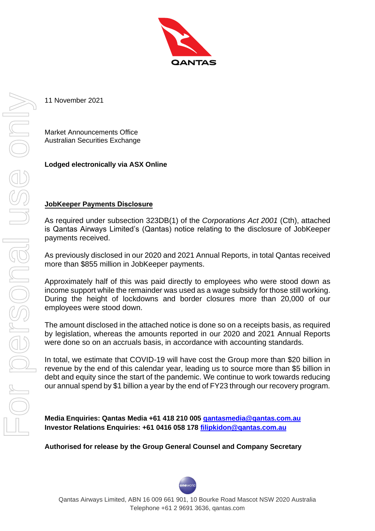

11 November 2021

Market Announcements Office Australian Securities Exchange

## **Lodged electronically via ASX Online**

### **JobKeeper Payments Disclosure**

As required under subsection 323DB(1) of the *Corporations Act 2001* (Cth), attached is Qantas Airways Limited's (Qantas) notice relating to the disclosure of JobKeeper payments received.

As previously disclosed in our 2020 and 2021 Annual Reports, in total Qantas received more than \$855 million in JobKeeper payments.

Approximately half of this was paid directly to employees who were stood down as income support while the remainder was used as a wage subsidy for those still working. During the height of lockdowns and border closures more than 20,000 of our employees were stood down.

The amount disclosed in the attached notice is done so on a receipts basis, as required by legislation, whereas the amounts reported in our 2020 and 2021 Annual Reports were done so on an accruals basis, in accordance with accounting standards.

In total, we estimate that COVID-19 will have cost the Group more than \$20 billion in revenue by the end of this calendar year, leading us to source more than \$5 billion in debt and equity since the start of the pandemic. We continue to work towards reducing our annual spend by \$1 billion a year by the end of FY23 through our recovery program.

**Media Enquiries: Qantas Media +61 418 210 005 [qantasmedia@qantas.com.au](mailto:qantasmedia@qantas.com.au) Investor Relations Enquiries: +61 0416 058 178 [filipkidon@qantas.com.au](mailto:filipkidon@qantas.com.au)**

**Authorised for release by the Group General Counsel and Company Secretary**